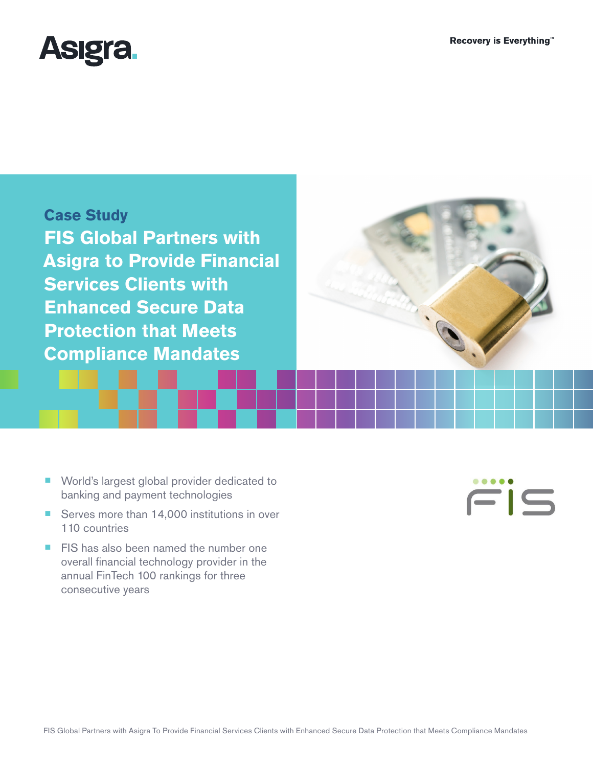

**Case Study FIS Global Partners with Asigra to Provide Financial Services Clients with Enhanced Secure Data Protection that Meets Compliance Mandates**

- World's largest global provider dedicated to banking and payment technologies
- Serves more than 14,000 institutions in over 110 countries
- FIS has also been named the number one overall financial technology provider in the annual FinTech 100 rankings for three consecutive years

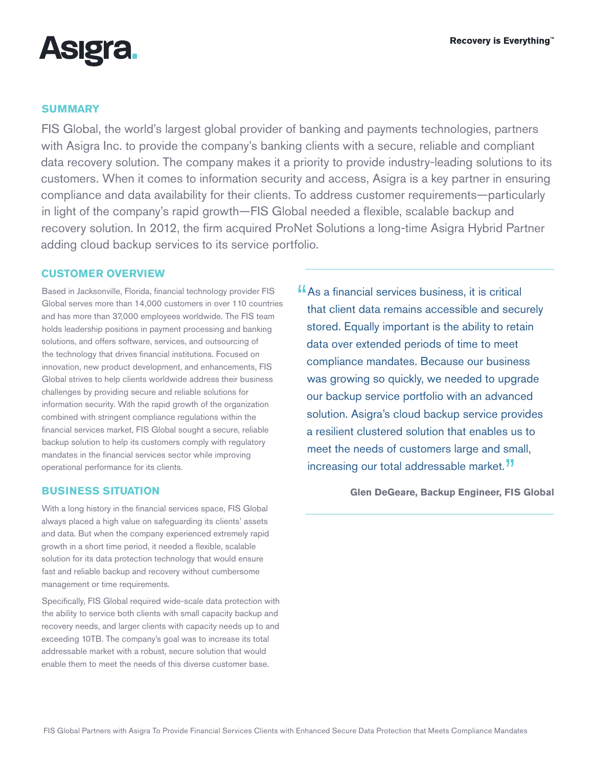Recovery is Everything"



### **SUMMARY**

FIS Global, the world's largest global provider of banking and payments technologies, partners with Asigra Inc. to provide the company's banking clients with a secure, reliable and compliant data recovery solution. The company makes it a priority to provide industry-leading solutions to its customers. When it comes to information security and access, Asigra is a key partner in ensuring compliance and data availability for their clients. To address customer requirements—particularly in light of the company's rapid growth—FIS Global needed a flexible, scalable backup and recovery solution. In 2012, the firm acquired ProNet Solutions a long-time Asigra Hybrid Partner adding cloud backup services to its service portfolio.

#### **CUSTOMER OVERVIEW**

Based in Jacksonville, Florida, financial technology provider FIS Global serves more than 14,000 customers in over 110 countries and has more than 37,000 employees worldwide. The FIS team holds leadership positions in payment processing and banking solutions, and offers software, services, and outsourcing of the technology that drives financial institutions. Focused on innovation, new product development, and enhancements, FIS Global strives to help clients worldwide address their business challenges by providing secure and reliable solutions for information security. With the rapid growth of the organization combined with stringent compliance regulations within the financial services market, FIS Global sought a secure, reliable backup solution to help its customers comply with regulatory mandates in the financial services sector while improving operational performance for its clients.

#### **BUSINESS SITUATION**

With a long history in the financial services space, FIS Global always placed a high value on safeguarding its clients' assets and data. But when the company experienced extremely rapid growth in a short time period, it needed a flexible, scalable solution for its data protection technology that would ensure fast and reliable backup and recovery without cumbersome management or time requirements.

Specifically, FIS Global required wide-scale data protection with the ability to service both clients with small capacity backup and recovery needs, and larger clients with capacity needs up to and exceeding 10TB. The company's goal was to increase its total addressable market with a robust, secure solution that would enable them to meet the needs of this diverse customer base.

**"As a financial services business, it is critical** that client data remains accessible and securely stored. Equally important is the ability to retain data over extended periods of time to meet compliance mandates. Because our business was growing so quickly, we needed to upgrade our backup service portfolio with an advanced solution. Asigra's cloud backup service provides a resilient clustered solution that enables us to meet the needs of customers large and small, increasing our total addressable market.<sup>77</sup>

**Glen DeGeare, Backup Engineer, FIS Global**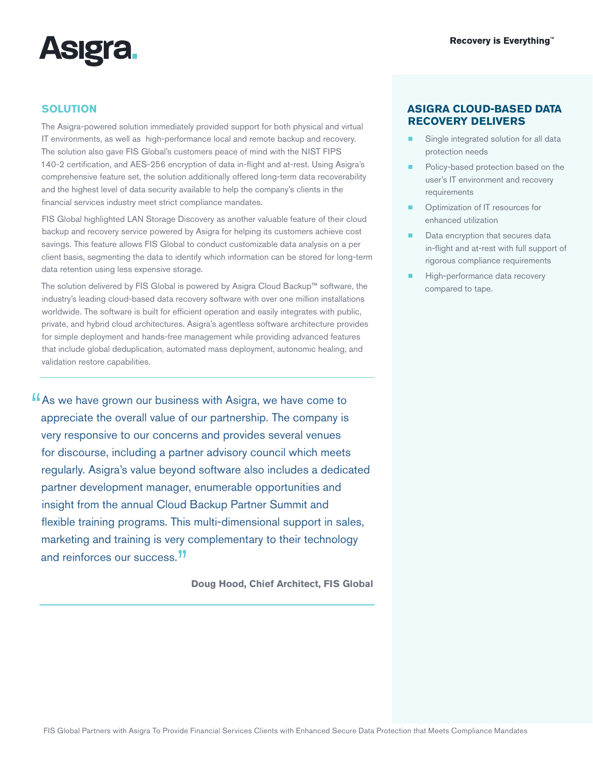

## **SOLUTION**

The Asigra-powered solution immediately provided support for both physical and virtual IT environments, as well as high-performance local and remote backup and recovery. The solution also gave FIS Global's customers peace of mind with the NIST FIPS 140-2 certification, and AES-256 encryption of data in-flight and at-rest. Using Asigra's comprehensive feature set, the solution additionally offered long-term data recoverability and the highest level of data security available to help the company's clients in the financial services industry meet strict compliance mandates.

FIS Global highlighted LAN Storage Discovery as another valuable feature of their cloud backup and recovery service powered by Asigra for helping its customers achieve cost savings. This feature allows FIS Global to conduct customizable data analysis on a per client basis, segmenting the data to identify which information can be stored for long-term data retention using less expensive storage.

The solution delivered by FIS Global is powered by Asigra Cloud Backup™ software, the industry's leading cloud-based data recovery software with over one million installations worldwide. The software is built for efficient operation and easily integrates with public, private, and hybrid cloud architectures. Asigra's agentless software architecture provides for simple deployment and hands-free management while providing advanced features that include global deduplication, automated mass deployment, autonomic healing, and validation restore capabilities.

"As we have grown our business with Asigra, we have come to appreciate the overall value of our partnership. The company is very responsive to our concerns and provides several venues for discourse, including a partner advisory council which meets regularly. Asigra's value beyond software also includes a dedicated partner development manager, enumerable opportunities and insight from the annual Cloud Backup Partner Summit and flexible training programs. This multi-dimensional support in sales, marketing and training is very complementary to their technology and reinforces our success.<sup>77</sup>

**Doug Hood, Chief Architect, FIS Global**

#### **ASIGRA CLOUD-BASED DATA RECOVERY DELIVERS**

- Single integrated solution for all data protection needs
- Policy-based protection based on the user's IT environment and recovery requirements
- Optimization of IT resources for enhanced utilization
- Data encryption that secures data in-flight and at-rest with full support of rigorous compliance requirements
- High-performance data recovery compared to tape.